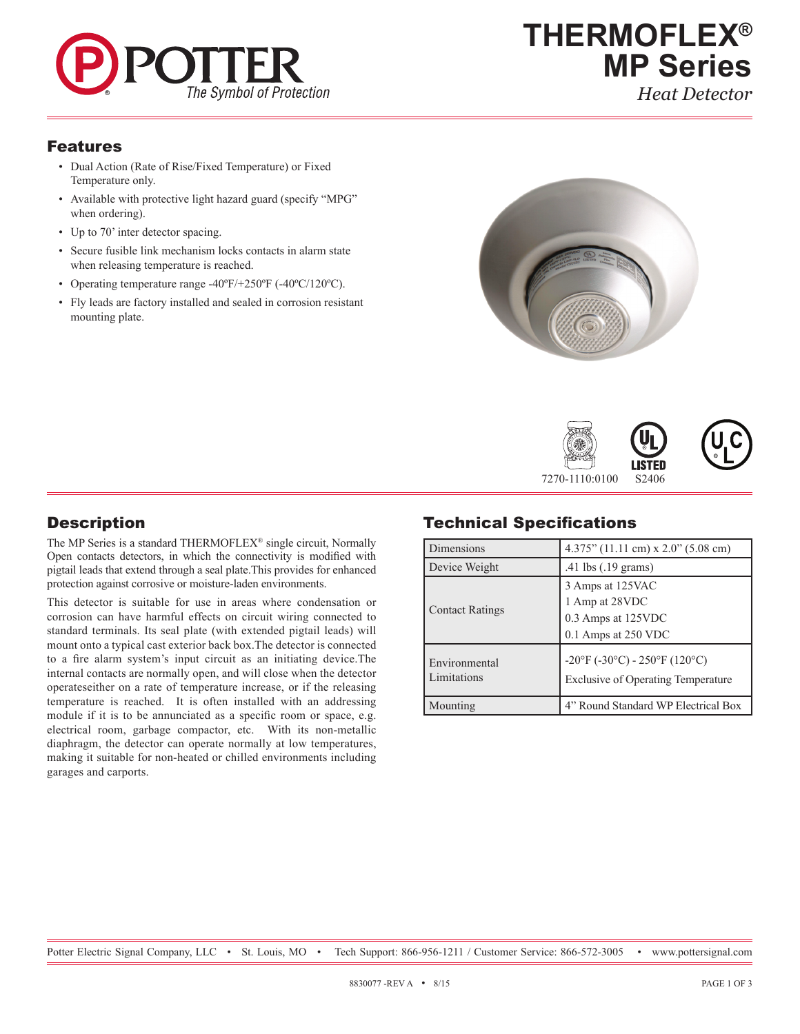

*Heat Detector*

R

#### Features

- Dual Action (Rate of Rise/Fixed Temperature) or Fixed Temperature only.
- Available with protective light hazard guard (specify "MPG" when ordering).
- Up to 70' inter detector spacing.
- Secure fusible link mechanism locks contacts in alarm state when releasing temperature is reached.
- Operating temperature range -40ºF/+250ºF (-40ºC/120ºC).
- Fly leads are factory installed and sealed in corrosion resistant mounting plate.







The MP Series is a standard THERMOFLEX® single circuit, Normally Open contacts detectors, in which the connectivity is modified with pigtail leads that extend through a seal plate.This provides for enhanced protection against corrosive or moisture-laden environments.

This detector is suitable for use in areas where condensation or corrosion can have harmful effects on circuit wiring connected to standard terminals. Its seal plate (with extended pigtail leads) will mount onto a typical cast exterior back box.The detector is connected to a fire alarm system's input circuit as an initiating device.The internal contacts are normally open, and will close when the detector operateseither on a rate of temperature increase, or if the releasing temperature is reached. It is often installed with an addressing module if it is to be annunciated as a specific room or space, e.g. electrical room, garbage compactor, etc. With its non-metallic diaphragm, the detector can operate normally at low temperatures, making it suitable for non-heated or chilled environments including garages and carports.

# Technical Specifications

| Dimensions                   | $4.375$ " (11.11 cm) x 2.0" (5.08 cm)                                           |  |  |
|------------------------------|---------------------------------------------------------------------------------|--|--|
| Device Weight                | .41 lbs (.19 grams)                                                             |  |  |
| <b>Contact Ratings</b>       | 3 Amps at 125VAC<br>1 Amp at 28VDC<br>0.3 Amps at 125VDC<br>0.1 Amps at 250 VDC |  |  |
| Environmental<br>Limitations | -20°F (-30°C) - 250°F (120°C)<br><b>Exclusive of Operating Temperature</b>      |  |  |
| Mounting                     | 4" Round Standard WP Electrical Box                                             |  |  |

Potter Electric Signal Company, LLC · St. Louis, MO · Tech Support: 866-956-1211 / Customer Service: 866-572-3005 · www.pottersignal.com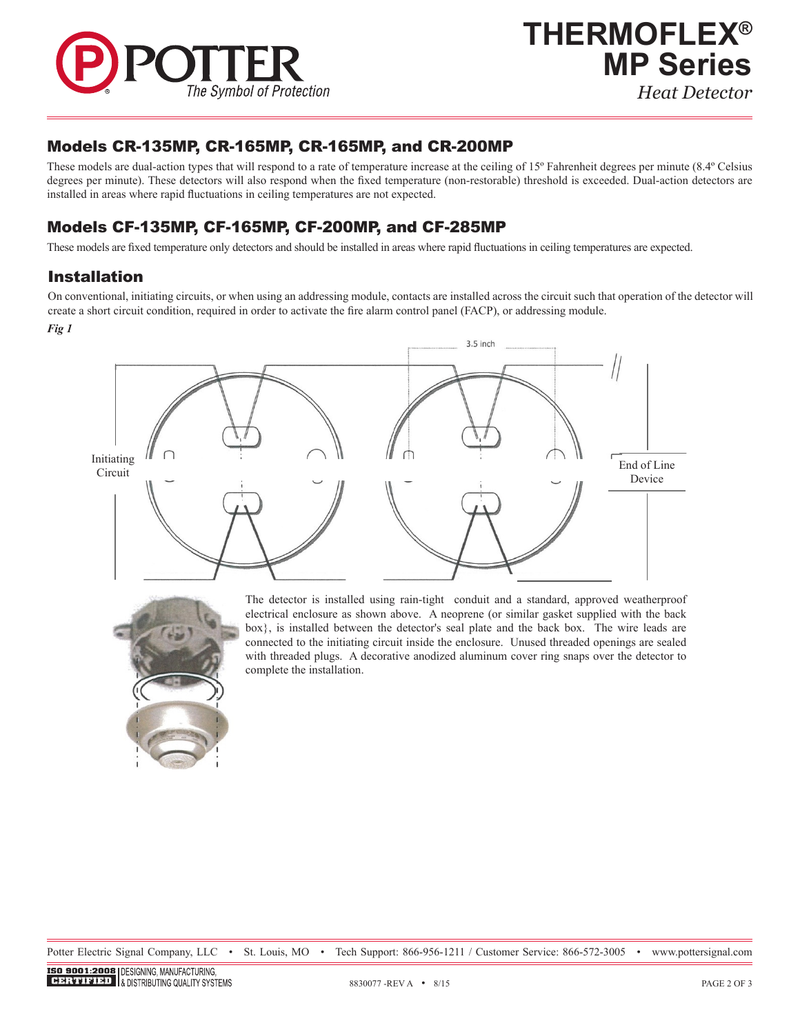

#### Models CR-135MP, CR-165MP, CR-165MP, and CR-200MP

These models are dual-action types that will respond to a rate of temperature increase at the ceiling of 15º Fahrenheit degrees per minute (8.4º Celsius degrees per minute). These detectors will also respond when the fixed temperature (non-restorable) threshold is exceeded. Dual-action detectors are installed in areas where rapid fluctuations in ceiling temperatures are not expected.

### Models CF-135MP, CF-165MP, CF-200MP, and CF-285MP

These models are fixed temperature only detectors and should be installed in areas where rapid fluctuations in ceiling temperatures are expected.

#### Installation

On conventional, initiating circuits, or when using an addressing module, contacts are installed across the circuit such that operation of the detector will create a short circuit condition, required in order to activate the fire alarm control panel (FACP), or addressing module.

*Fig 1*





The detector is installed using rain-tight conduit and a standard, approved weatherproof electrical enclosure as shown above. A neoprene (or similar gasket supplied with the back box}, is installed between the detector's seal plate and the back box. The wire leads are connected to the initiating circuit inside the enclosure. Unused threaded openings are sealed with threaded plugs. A decorative anodized aluminum cover ring snaps over the detector to complete the installation.

Potter Electric Signal Company, LLC • St. Louis, MO • Tech Support: 866-956-1211 / Customer Service: 866-572-3005 • www.pottersignal.com